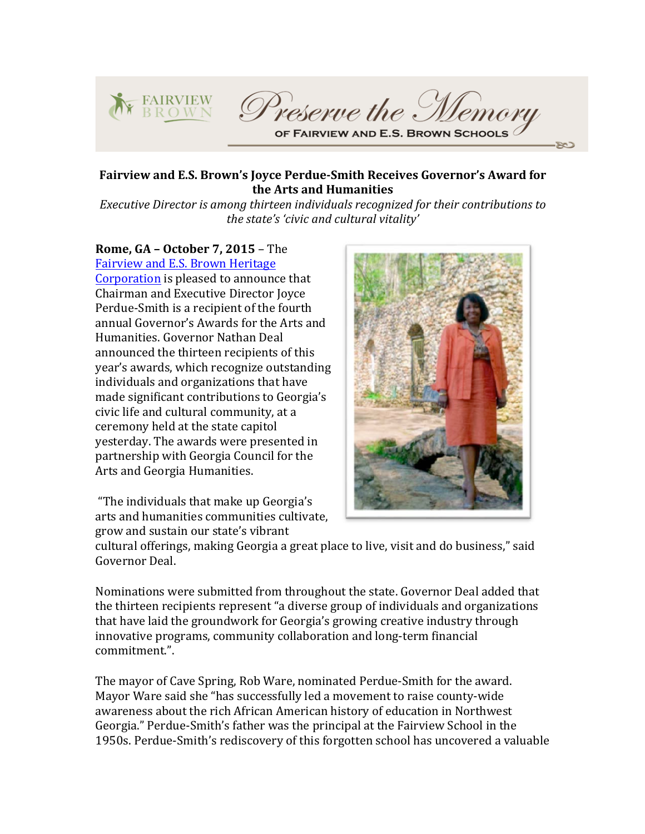

## Fairview and E.S. Brown's Joyce Perdue-Smith Receives Governor's Award for the Arts and Humanities

*Executive Director is among thirteen individuals recognized for their contributions to* the state's 'civic and cultural vitality'

**Rome, GA - October 7, 2015 - The** Fairview and E.S. Brown Heritage Corporation is pleased to announce that Chairman and Executive Director Joyce Perdue-Smith is a recipient of the fourth annual Governor's Awards for the Arts and Humanities. Governor Nathan Deal announced the thirteen recipients of this year's awards, which recognize outstanding individuals and organizations that have made significant contributions to Georgia's civic life and cultural community, at a ceremony held at the state capitol vesterday. The awards were presented in partnership with Georgia Council for the Arts and Georgia Humanities.

"The individuals that make up Georgia's arts and humanities communities cultivate. grow and sustain our state's vibrant



cultural offerings, making Georgia a great place to live, visit and do business," said Governor Deal.

Nominations were submitted from throughout the state. Governor Deal added that the thirteen recipients represent "a diverse group of individuals and organizations that have laid the groundwork for Georgia's growing creative industry through innovative programs, community collaboration and long-term financial commitment.". 

The mayor of Cave Spring, Rob Ware, nominated Perdue-Smith for the award. Mayor Ware said she "has successfully led a movement to raise county-wide awareness about the rich African American history of education in Northwest Georgia." Perdue-Smith's father was the principal at the Fairview School in the 1950s. Perdue-Smith's rediscovery of this forgotten school has uncovered a valuable